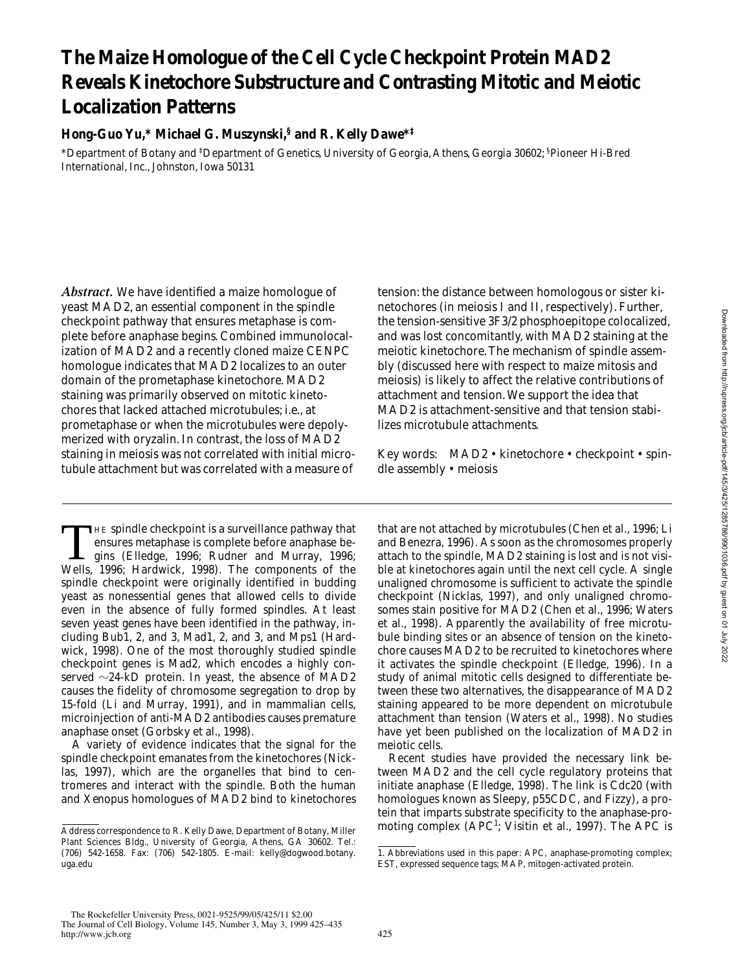# **The Maize Homologue of the Cell Cycle Checkpoint Protein MAD2 Reveals Kinetochore Substructure and Contrasting Mitotic and Meiotic Localization Patterns**

## **Hong-Guo Yu,\* Michael G. Muszynski,§ and R. Kelly Dawe\*‡**

\*Department of Botany and ‡ Department of Genetics, University of Georgia, Athens, Georgia 30602; § Pioneer Hi-Bred International, Inc., Johnston, Iowa 50131

*Abstract.* We have identified a maize homologue of yeast MAD2, an essential component in the spindle checkpoint pathway that ensures metaphase is complete before anaphase begins. Combined immunolocalization of MAD2 and a recently cloned maize CENPC homologue indicates that MAD2 localizes to an outer domain of the prometaphase kinetochore. MAD2 staining was primarily observed on mitotic kinetochores that lacked attached microtubules; i.e., at prometaphase or when the microtubules were depolymerized with oryzalin. In contrast, the loss of MAD2 staining in meiosis was not correlated with initial microtubule attachment but was correlated with a measure of

THE spindle checkpoint is a surveillance pathway that<br>ensures metaphase is complete before anaphase be-<br>gins (Elledge, 1996; Rudner and Murray, 1996;<br>Wells, 1996; Hardwick, 1998), The components of the ensures metaphase is complete before anaphase be-Wells, 1996; Hardwick, 1998). The components of the spindle checkpoint were originally identified in budding yeast as nonessential genes that allowed cells to divide even in the absence of fully formed spindles. At least seven yeast genes have been identified in the pathway, including Bub1, 2, and 3, Mad1, 2, and 3, and Mps1 (Hardwick, 1998). One of the most thoroughly studied spindle checkpoint genes is Mad2, which encodes a highly conserved  $\sim$ 24-kD protein. In yeast, the absence of MAD2 causes the fidelity of chromosome segregation to drop by 15-fold (Li and Murray, 1991), and in mammalian cells, microinjection of anti-MAD2 antibodies causes premature anaphase onset (Gorbsky et al., 1998).

A variety of evidence indicates that the signal for the spindle checkpoint emanates from the kinetochores (Nicklas, 1997), which are the organelles that bind to centromeres and interact with the spindle. Both the human and *Xenopus* homologues of MAD2 bind to kinetochores tension: the distance between homologous or sister kinetochores (in meiosis I and II, respectively). Further, the tension-sensitive 3F3/2 phosphoepitope colocalized, and was lost concomitantly, with MAD2 staining at the meiotic kinetochore. The mechanism of spindle assembly (discussed here with respect to maize mitosis and meiosis) is likely to affect the relative contributions of attachment and tension. We support the idea that MAD2 is attachment-sensitive and that tension stabilizes microtubule attachments.

Key words: MAD2 • kinetochore • checkpoint • spindle assembly • meiosis

that are not attached by microtubules (Chen et al., 1996; Li and Benezra, 1996). As soon as the chromosomes properly attach to the spindle, MAD2 staining is lost and is not visible at kinetochores again until the next cell cycle. A single unaligned chromosome is sufficient to activate the spindle checkpoint (Nicklas, 1997), and only unaligned chromosomes stain positive for MAD2 (Chen et al., 1996; Waters et al., 1998). Apparently the availability of free microtubule binding sites or an absence of tension on the kinetochore causes MAD2 to be recruited to kinetochores where it activates the spindle checkpoint (Elledge, 1996). In a study of animal mitotic cells designed to differentiate between these two alternatives, the disappearance of MAD2 staining appeared to be more dependent on microtubule attachment than tension (Waters et al., 1998). No studies have yet been published on the localization of MAD2 in meiotic cells.

Recent studies have provided the necessary link between MAD2 and the cell cycle regulatory proteins that initiate anaphase (Elledge, 1998). The link is Cdc20 (with homologues known as Sleepy, p55CDC, and Fizzy), a protein that imparts substrate specificity to the anaphase-promoting complex (APC<sup>1</sup>; Visitin et al., 1997). The APC is

 $\overline{\text{Address}}$  correspondence to R. Kelly Dawe, Department of Botany, Miller Plant Sciences Bldg., University of Georgia, Athens, GA 30602. Tel.: (706) 542-1658. Fax: (706) 542-1805. E-mail: kelly@dogwood.botany. uga.edu

<sup>1.</sup> *Abbreviations used in this paper:* APC, anaphase-promoting complex; EST, expressed sequence tags; MAP, mitogen-activated protein.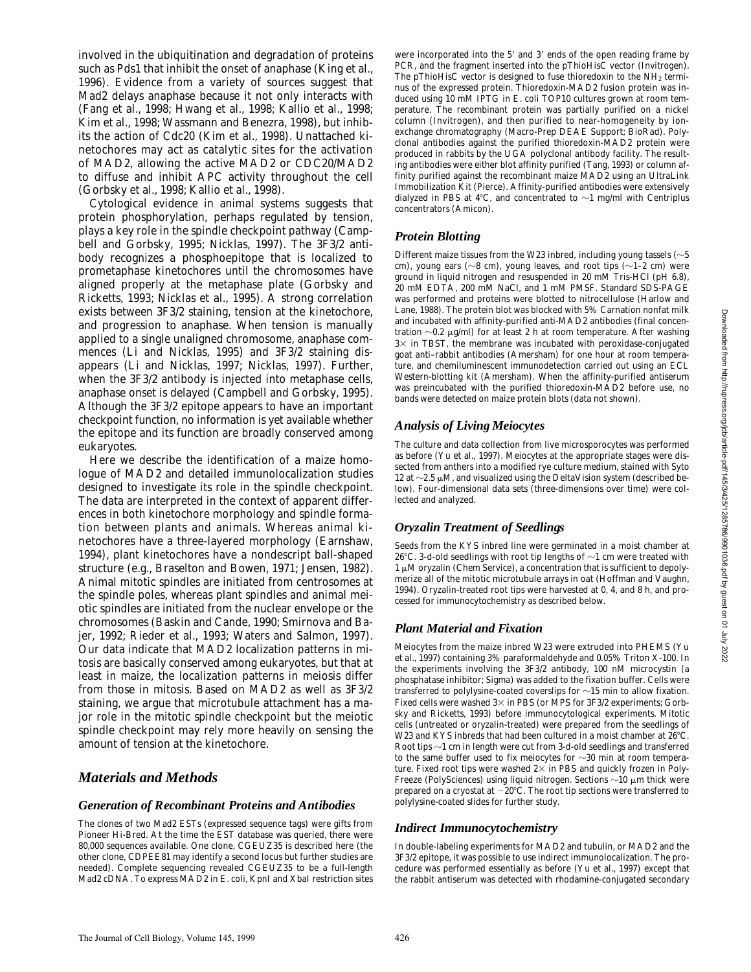involved in the ubiquitination and degradation of proteins such as Pds1 that inhibit the onset of anaphase (King et al., 1996). Evidence from a variety of sources suggest that Mad2 delays anaphase because it not only interacts with (Fang et al., 1998; Hwang et al., 1998; Kallio et al., 1998; Kim et al., 1998; Wassmann and Benezra, 1998), but inhibits the action of Cdc20 (Kim et al., 1998). Unattached kinetochores may act as catalytic sites for the activation of MAD2, allowing the active MAD2 or CDC20/MAD2 to diffuse and inhibit APC activity throughout the cell (Gorbsky et al., 1998; Kallio et al., 1998).

Cytological evidence in animal systems suggests that protein phosphorylation, perhaps regulated by tension, plays a key role in the spindle checkpoint pathway (Campbell and Gorbsky, 1995; Nicklas, 1997). The 3F3/2 antibody recognizes a phosphoepitope that is localized to prometaphase kinetochores until the chromosomes have aligned properly at the metaphase plate (Gorbsky and Ricketts, 1993; Nicklas et al., 1995). A strong correlation exists between 3F3/2 staining, tension at the kinetochore, and progression to anaphase. When tension is manually applied to a single unaligned chromosome, anaphase commences (Li and Nicklas, 1995) and 3F3/2 staining disappears (Li and Nicklas, 1997; Nicklas, 1997). Further, when the 3F3/2 antibody is injected into metaphase cells, anaphase onset is delayed (Campbell and Gorbsky, 1995). Although the 3F3/2 epitope appears to have an important checkpoint function, no information is yet available whether the epitope and its function are broadly conserved among eukaryotes.

Here we describe the identification of a maize homologue of MAD2 and detailed immunolocalization studies designed to investigate its role in the spindle checkpoint. The data are interpreted in the context of apparent differences in both kinetochore morphology and spindle formation between plants and animals. Whereas animal kinetochores have a three-layered morphology (Earnshaw, 1994), plant kinetochores have a nondescript ball-shaped structure (e.g., Braselton and Bowen, 1971; Jensen, 1982). Animal mitotic spindles are initiated from centrosomes at the spindle poles, whereas plant spindles and animal meiotic spindles are initiated from the nuclear envelope or the chromosomes (Baskin and Cande, 1990; Smirnova and Bajer, 1992; Rieder et al., 1993; Waters and Salmon, 1997). Our data indicate that MAD2 localization patterns in mitosis are basically conserved among eukaryotes, but that at least in maize, the localization patterns in meiosis differ from those in mitosis. Based on MAD2 as well as 3F3/2 staining, we argue that microtubule attachment has a major role in the mitotic spindle checkpoint but the meiotic spindle checkpoint may rely more heavily on sensing the amount of tension at the kinetochore.

## *Materials and Methods*

#### *Generation of Recombinant Proteins and Antibodies*

The clones of two *Mad2* ESTs (expressed sequence tags) were gifts from Pioneer Hi-Bred. At the time the EST database was queried, there were 80,000 sequences available. One clone, CGEUZ35 is described here (the other clone, CDPEE81 may identify a second locus but further studies are needed). Complete sequencing revealed CGEUZ35 to be a full-length *Mad2* cDNA. To express MAD2 in *E*. *coli*, KpnI and XbaI restriction sites

were incorporated into the 5' and 3' ends of the open reading frame by PCR, and the fragment inserted into the pThioHisC vector (Invitrogen). The pThioHisC vector is designed to fuse thioredoxin to the  $NH<sub>2</sub>$  terminus of the expressed protein. Thioredoxin-MAD2 fusion protein was induced using 10 mM IPTG in *E*. *coli* TOP10 cultures grown at room temperature. The recombinant protein was partially purified on a nickel column (Invitrogen), and then purified to near-homogeneity by ionexchange chromatography (Macro-Prep DEAE Support; BioRad). Polyclonal antibodies against the purified thioredoxin-MAD2 protein were produced in rabbits by the UGA polyclonal antibody facility. The resulting antibodies were either blot affinity purified (Tang, 1993) or column affinity purified against the recombinant maize MAD2 using an UltraLink Immobilization Kit (Pierce). Affinity-purified antibodies were extensively dialyzed in PBS at 4°C, and concentrated to  $\sim$ 1 mg/ml with Centriplus concentrators (Amicon).

## *Protein Blotting*

Different maize tissues from the W23 inbred, including young tassels  $(\sim]5$ cm), young ears ( $\sim$ 8 cm), young leaves, and root tips ( $\sim$ 1–2 cm) were ground in liquid nitrogen and resuspended in 20 mM Tris-HCl (pH 6.8), 20 mM EDTA, 200 mM NaCl, and 1 mM PMSF. Standard SDS-PAGE was performed and proteins were blotted to nitrocellulose (Harlow and Lane, 1988). The protein blot was blocked with 5% Carnation nonfat milk and incubated with affinity-purified anti-MAD2 antibodies (final concentration  $\sim$ 0.2  $\mu$ g/ml) for at least 2 h at room temperature. After washing  $3\times$  in TBST, the membrane was incubated with peroxidase-conjugated goat anti–rabbit antibodies (Amersham) for one hour at room temperature, and chemiluminescent immunodetection carried out using an ECL Western-blotting kit (Amersham). When the affinity-purified antiserum was preincubated with the purified thioredoxin-MAD2 before use, no bands were detected on maize protein blots (data not shown).

## *Analysis of Living Meiocytes*

The culture and data collection from live microsporocytes was performed as before (Yu et al., 1997). Meiocytes at the appropriate stages were dissected from anthers into a modified rye culture medium, stained with Syto 12 at  $\sim$  2.5  $\mu$ M, and visualized using the DeltaVision system (described below). Four-dimensional data sets (three-dimensions over time) were collected and analyzed.

## *Oryzalin Treatment of Seedlings*

Seeds from the KYS inbred line were germinated in a moist chamber at 26°C. 3-d-old seedlings with root tip lengths of  $\sim$ 1 cm were treated with  $1 \mu$ M oryzalin (Chem Service), a concentration that is sufficient to depolymerize all of the mitotic microtubule arrays in oat (Hoffman and Vaughn, 1994). Oryzalin-treated root tips were harvested at 0, 4, and 8 h, and processed for immunocytochemistry as described below.

## *Plant Material and Fixation*

Meiocytes from the maize inbred W23 were extruded into PHEMS (Yu et al., 1997) containing 3% paraformaldehyde and 0.05% Triton X-100. In the experiments involving the 3F3/2 antibody, 100 nM microcystin (a phosphatase inhibitor; Sigma) was added to the fixation buffer. Cells were transferred to polylysine-coated coverslips for  $\sim$ 15 min to allow fixation. Fixed cells were washed  $3\times$  in PBS (or MPS for 3F3/2 experiments; Gorbsky and Ricketts, 1993) before immunocytological experiments. Mitotic cells (untreated or oryzalin-treated) were prepared from the seedlings of W23 and KYS inbreds that had been cultured in a moist chamber at  $26^{\circ}$ C. Root tips  $\sim$ 1 cm in length were cut from 3-d-old seedlings and transferred to the same buffer used to fix meiocytes for  $\sim$ 30 min at room temperature. Fixed root tips were washed  $2\times$  in PBS and quickly frozen in Poly-Freeze (PolySciences) using liquid nitrogen. Sections  $\sim$ 10  $\mu$ m thick were prepared on a cryostat at  $-20^{\circ}\textrm{C}.$  The root tip sections were transferred to polylysine-coated slides for further study.

#### *Indirect Immunocytochemistry*

In double-labeling experiments for MAD2 and tubulin, or MAD2 and the 3F3/2 epitope, it was possible to use indirect immunolocalization. The procedure was performed essentially as before (Yu et al., 1997) except that the rabbit antiserum was detected with rhodamine-conjugated secondary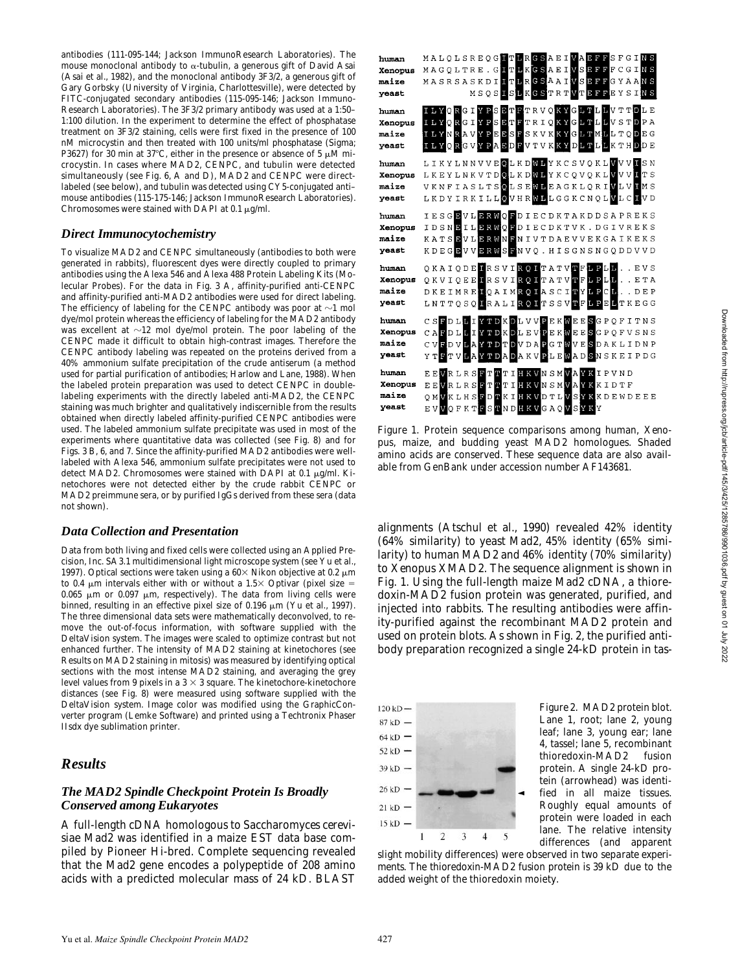antibodies (111-095-144; Jackson ImmunoResearch Laboratories). The mouse monoclonal antibody to  $\alpha$ -tubulin, a generous gift of David Asai (Asai et al., 1982), and the monoclonal antibody 3F3/2, a generous gift of Gary Gorbsky (University of Virginia, Charlottesville), were detected by FITC-conjugated secondary antibodies (115-095-146; Jackson Immuno-Research Laboratories). The 3F3/2 primary antibody was used at a 1:50– 1:100 dilution. In the experiment to determine the effect of phosphatase treatment on 3F3/2 staining, cells were first fixed in the presence of 100 nM microcystin and then treated with 100 units/ml phosphatase (Sigma; P3627) for 30 min at 37°C, either in the presence or absence of 5  $\mu$ M microcystin. In cases where MAD2, CENPC, and tubulin were detected simultaneously (see Fig. 6, A and D), MAD2 and CENPC were directlabeled (see below), and tubulin was detected using CY5-conjugated anti– mouse antibodies (115-175-146; Jackson ImmunoResearch Laboratories). Chromosomes were stained with DAPI at 0.1  $\mu$ g/ml.

#### *Direct Immunocytochemistry*

To visualize MAD2 and CENPC simultaneously (antibodies to both were generated in rabbits), fluorescent dyes were directly coupled to primary antibodies using the Alexa 546 and Alexa 488 Protein Labeling Kits (Molecular Probes). For the data in Fig. 3 A, affinity-purified anti-CENPC and affinity-purified anti-MAD2 antibodies were used for direct labeling. The efficiency of labeling for the CENPC antibody was poor at  $\sim$ 1 mol dye/mol protein whereas the efficiency of labeling for the MAD2 antibody was excellent at  $\sim$  12 mol dye/mol protein. The poor labeling of the CENPC made it difficult to obtain high-contrast images. Therefore the CENPC antibody labeling was repeated on the proteins derived from a 40% ammonium sulfate precipitation of the crude antiserum (a method used for partial purification of antibodies; Harlow and Lane, 1988). When the labeled protein preparation was used to detect CENPC in doublelabeling experiments with the directly labeled anti-MAD2, the CENPC staining was much brighter and qualitatively indiscernible from the results obtained when directly labeled affinity-purified CENPC antibodies were used. The labeled ammonium sulfate precipitate was used in most of the experiments where quantitative data was collected (see Fig. 8) and for Figs. 3 B, 6, and 7. Since the affinity-purified MAD2 antibodies were welllabeled with Alexa 546, ammonium sulfate precipitates were not used to detect MAD2. Chromosomes were stained with DAPI at 0.1  $\mu$ g/ml. Kinetochores were not detected either by the crude rabbit CENPC or MAD2 preimmune sera, or by purified IgGs derived from these sera (data not shown).

#### *Data Collection and Presentation*

Data from both living and fixed cells were collected using an Applied Precision, Inc. SA3.1 multidimensional light microscope system (see Yu et al., 1997). Optical sections were taken using a  $60\times$  Nikon objective at 0.2  $\mu$ m to 0.4  $\mu$ m intervals either with or without a 1.5 $\times$  Optivar (pixel size = 0.065  $\mu$ m or 0.097  $\mu$ m, respectively). The data from living cells were binned, resulting in an effective pixel size of 0.196  $\mu$ m (Yu et al., 1997). The three dimensional data sets were mathematically deconvolved, to remove the out-of-focus information, with software supplied with the DeltaVision system. The images were scaled to optimize contrast but not enhanced further. The intensity of MAD2 staining at kinetochores (see Results on MAD2 staining in mitosis) was measured by identifying optical sections with the most intense MAD2 staining, and averaging the grey level values from 9 pixels in a  $3 \times 3$  square. The kinetochore-kinetochore distances (see Fig. 8) were measured using software supplied with the DeltaVision system. Image color was modified using the GraphicConverter program (Lemke Software) and printed using a Techtronix Phaser IIsdx dye sublimation printer.

## *Results*

#### *The MAD2 Spindle Checkpoint Protein Is Broadly Conserved among Eukaryotes*

A full-length cDNA homologous to *Saccharomyces cerevisiae Mad2* was identified in a maize EST data base compiled by Pioneer Hi-bred. Complete sequencing revealed that the *Mad2* gene encodes a polypeptide of 208 amino acids with a predicted molecular mass of 24 kD. BLAST

| human   | MALQLSREQGETLRGSAEIVADFPSFGINS                                   |
|---------|------------------------------------------------------------------|
| Xenopus | MAGQLTRE. GITLKGSAEIVSDFFFCGINS                                  |
| maize   | MASRSASKDILTLRGSAAIVSEFFGYAANS                                   |
| yeast   | MSOSISLKGSTRTVTEFFEYSINS                                         |
| human   | ILYORGIYPSETFTRVOKYGLTLLVTTDLE                                   |
| Xenopus | ILYQRGIYPSETTTRIQKYGLTLLVSTDPA                                   |
| maize   | <b>ILYNRAVYPEESFSKVKKYGLTMLLTQDEG</b>                            |
| yeast   | ILYQRGVYPAEDFVTVKKYDLTLLKTHDDE                                   |
| human   | LIKYLNNVVEOLKD <b>@L</b> YKCSVQKL <mark>V</mark> VV <b>II</b> SN |
| Xenopus | L K E Y L N K V T D O L K D O L Y K C Q V Q K L V V U T T S      |
| maize   | VKNFIASLTSOLSEMLEAGKLQRIMLVIMS                                   |
| yeast   | LKDYIRKILLOVHRWHLGGKCNQLVLCIVD                                   |
| human   | IESGEVLERWOFDIECDKTAKDDSAPREKS                                   |
| Xenopus | IDSNEILERWOPDIECDKTVK.DGIVREKS                                   |
| maize   | KATSEVLER WENIVTDAEVVEKGAIKEKS                                   |
| yeast   | KDEG <b>B</b> VV <b>BRWSP</b> NVQ.HISGNSNGQDDVVD                 |
| human   | OKAIODEIRSVIROITATVTFLPLLEVS                                     |
| Xenopus | OKVIOEEIRSVIROITATVTFIPLLETA                                     |
| maize   | DKEIMRE <b>HOAIMROIASCITYLPCH.</b> .DEP                          |
| yeast   | LNTTQSQIRALIRQITSSVTFLPELTKEGG                                   |
| human   | CSFDLLIYTDKDLVVPEKWEESGPQFITNS                                   |
| Xenopus | CAPDLLIYTDKDLEVPEKWEESGPOFVSNS                                   |
| maize   | CV <b>FDVLAYTDTDVDAPGTMVESDAKLIDNP</b>                           |
| yeast   | YT <b>FTVLAYTDADAKVPLEMADSN</b> SKEIPDG                          |
| human   | EEVRLRSFTTTIHKVNSMVAYKIPVND                                      |
| Xenopus | EEWRLRSFTTTIKVNSMVAYKKIDTF                                       |
| maize   | OMVKLHSFDTKIHKVDTLVSYKKDEWDEEE                                   |
| yeast   | EVVQFKTFSTND <mark>HKV</mark> GAQ <mark>V</mark> SYKY            |

*Figure 1*. Protein sequence comparisons among human, *Xenopus*, maize, and budding yeast MAD2 homologues. Shaded amino acids are conserved. These sequence data are also available from GenBank under accession number AF143681.

alignments (Atschul et al., 1990) revealed 42% identity (64% similarity) to yeast Mad2, 45% identity (65% similarity) to human MAD2 and 46% identity (70% similarity) to *Xenopus* XMAD2. The sequence alignment is shown in Fig. 1. Using the full-length maize *Mad2* cDNA, a thioredoxin-MAD2 fusion protein was generated, purified, and injected into rabbits. The resulting antibodies were affinity-purified against the recombinant MAD2 protein and used on protein blots. As shown in Fig. 2, the purified antibody preparation recognized a single 24-kD protein in tas-



*Figure 2*. MAD2 protein blot. Lane 1, root; lane 2, young leaf; lane 3, young ear; lane 4, tassel; lane 5, recombinant thioredoxin-MAD2 fusion protein. A single 24-kD protein (arrowhead) was identified in all maize tissues. Roughly equal amounts of protein were loaded in each lane. The relative intensity differences (and apparent

slight mobility differences) were observed in two separate experiments. The thioredoxin-MAD2 fusion protein is 39 kD due to the added weight of the thioredoxin moiety.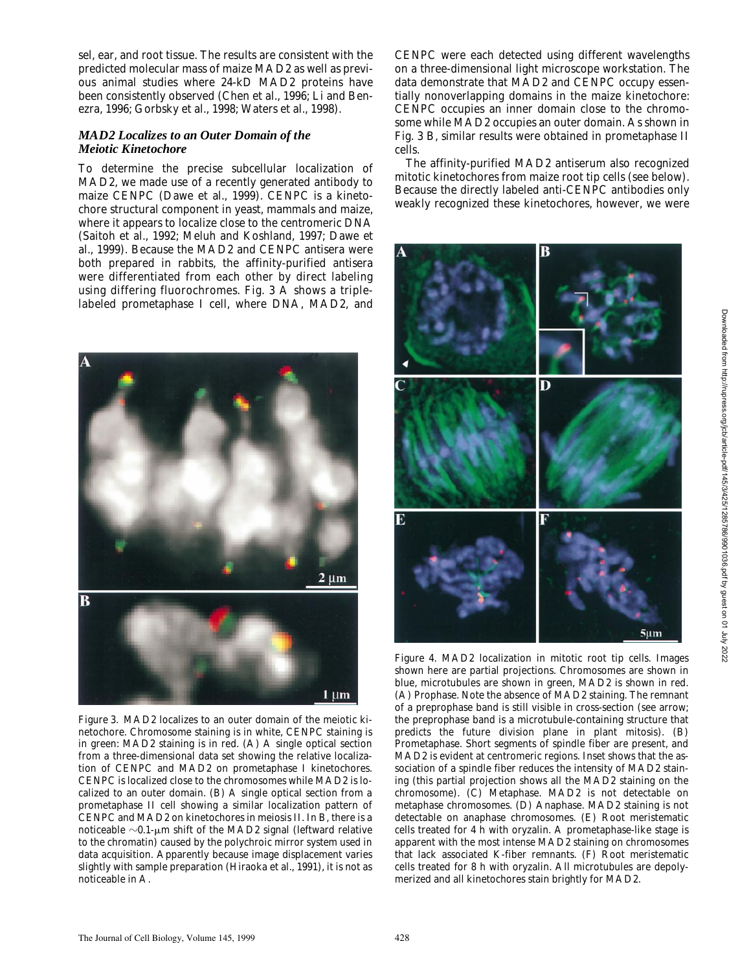sel, ear, and root tissue. The results are consistent with the predicted molecular mass of maize MAD2 as well as previous animal studies where 24-kD MAD2 proteins have been consistently observed (Chen et al., 1996; Li and Benezra, 1996; Gorbsky et al., 1998; Waters et al., 1998).

## *MAD2 Localizes to an Outer Domain of the Meiotic Kinetochore*

To determine the precise subcellular localization of MAD2, we made use of a recently generated antibody to maize CENPC (Dawe et al., 1999). CENPC is a kinetochore structural component in yeast, mammals and maize, where it appears to localize close to the centromeric DNA (Saitoh et al., 1992; Meluh and Koshland, 1997; Dawe et al., 1999). Because the MAD2 and CENPC antisera were both prepared in rabbits, the affinity-purified antisera were differentiated from each other by direct labeling using differing fluorochromes. Fig. 3 A shows a triplelabeled prometaphase I cell, where DNA, MAD2, and



*Figure 3*. MAD2 localizes to an outer domain of the meiotic kinetochore. Chromosome staining is in white, CENPC staining is in green: MAD2 staining is in red. (A) A single optical section from a three-dimensional data set showing the relative localization of CENPC and MAD2 on prometaphase I kinetochores. CENPC is localized close to the chromosomes while MAD2 is localized to an outer domain. (B) A single optical section from a prometaphase II cell showing a similar localization pattern of CENPC and MAD2 on kinetochores in meiosis II. In B, there is a noticeable  $\sim$ 0.1- $\mu$ m shift of the MAD2 signal (leftward relative to the chromatin) caused by the polychroic mirror system used in data acquisition. Apparently because image displacement varies slightly with sample preparation (Hiraoka et al., 1991), it is not as noticeable in A.

CENPC were each detected using different wavelengths on a three-dimensional light microscope workstation. The data demonstrate that MAD2 and CENPC occupy essentially nonoverlapping domains in the maize kinetochore: CENPC occupies an inner domain close to the chromosome while MAD2 occupies an outer domain. As shown in Fig. 3 B, similar results were obtained in prometaphase II cells.

The affinity-purified MAD2 antiserum also recognized mitotic kinetochores from maize root tip cells (see below). Because the directly labeled anti-CENPC antibodies only weakly recognized these kinetochores, however, we were



*Figure 4*. MAD2 localization in mitotic root tip cells. Images shown here are partial projections. Chromosomes are shown in blue, microtubules are shown in green, MAD2 is shown in red. (A) Prophase. Note the absence of MAD2 staining. The remnant of a preprophase band is still visible in cross-section (see arrow; the preprophase band is a microtubule-containing structure that predicts the future division plane in plant mitosis). (B) Prometaphase. Short segments of spindle fiber are present, and MAD2 is evident at centromeric regions. Inset shows that the association of a spindle fiber reduces the intensity of MAD2 staining (this partial projection shows all the MAD2 staining on the chromosome). (C) Metaphase. MAD2 is not detectable on metaphase chromosomes. (D) Anaphase. MAD2 staining is not detectable on anaphase chromosomes. (E) Root meristematic cells treated for 4 h with oryzalin. A prometaphase-like stage is apparent with the most intense MAD2 staining on chromosomes that lack associated K-fiber remnants. (F) Root meristematic cells treated for 8 h with oryzalin. All microtubules are depolymerized and all kinetochores stain brightly for MAD2.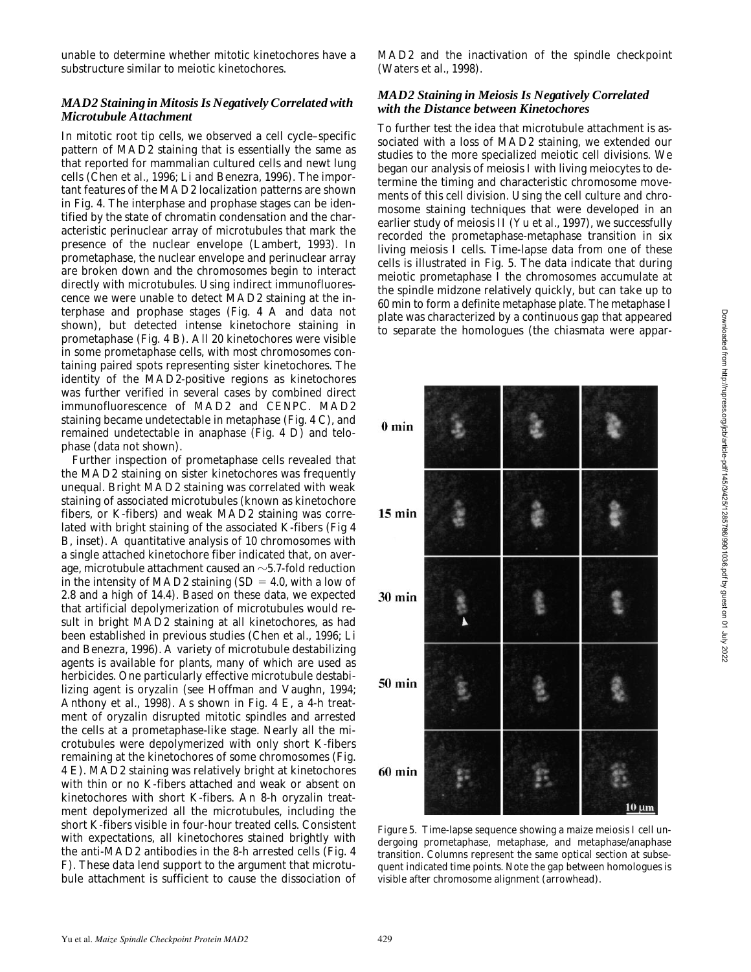unable to determine whether mitotic kinetochores have a substructure similar to meiotic kinetochores.

#### *MAD2 Staining in Mitosis Is Negatively Correlated with Microtubule Attachment*

In mitotic root tip cells, we observed a cell cycle–specific pattern of MAD2 staining that is essentially the same as that reported for mammalian cultured cells and newt lung cells (Chen et al., 1996; Li and Benezra, 1996). The important features of the MAD2 localization patterns are shown in Fig. 4. The interphase and prophase stages can be identified by the state of chromatin condensation and the characteristic perinuclear array of microtubules that mark the presence of the nuclear envelope (Lambert, 1993). In prometaphase, the nuclear envelope and perinuclear array are broken down and the chromosomes begin to interact directly with microtubules. Using indirect immunofluorescence we were unable to detect MAD2 staining at the interphase and prophase stages (Fig. 4 A and data not shown), but detected intense kinetochore staining in prometaphase (Fig. 4 B). All 20 kinetochores were visible in some prometaphase cells, with most chromosomes containing paired spots representing sister kinetochores. The identity of the MAD2-positive regions as kinetochores was further verified in several cases by combined direct immunofluorescence of MAD2 and CENPC. MAD2 staining became undetectable in metaphase (Fig. 4 C), and remained undetectable in anaphase (Fig. 4 D) and telophase (data not shown).

Further inspection of prometaphase cells revealed that the MAD2 staining on sister kinetochores was frequently unequal. Bright MAD2 staining was correlated with weak staining of associated microtubules (known as kinetochore fibers, or K-fibers) and weak MAD2 staining was correlated with bright staining of the associated K-fibers (Fig 4 B, inset). A quantitative analysis of 10 chromosomes with a single attached kinetochore fiber indicated that, on average, microtubule attachment caused an  $\sim$  5.7-fold reduction in the intensity of MAD2 staining  $(SD = 4.0, \text{ with a low of})$ 2.8 and a high of 14.4). Based on these data, we expected that artificial depolymerization of microtubules would result in bright MAD2 staining at all kinetochores, as had been established in previous studies (Chen et al., 1996; Li and Benezra, 1996). A variety of microtubule destabilizing agents is available for plants, many of which are used as herbicides. One particularly effective microtubule destabilizing agent is oryzalin (see Hoffman and Vaughn, 1994; Anthony et al., 1998). As shown in Fig. 4 E, a 4-h treatment of oryzalin disrupted mitotic spindles and arrested the cells at a prometaphase-like stage. Nearly all the microtubules were depolymerized with only short K-fibers remaining at the kinetochores of some chromosomes (Fig. 4 E). MAD2 staining was relatively bright at kinetochores with thin or no K-fibers attached and weak or absent on kinetochores with short K-fibers. An 8-h oryzalin treatment depolymerized all the microtubules, including the short K-fibers visible in four-hour treated cells. Consistent with expectations, all kinetochores stained brightly with the anti-MAD2 antibodies in the 8-h arrested cells (Fig. 4 F). These data lend support to the argument that microtubule attachment is sufficient to cause the dissociation of

MAD2 and the inactivation of the spindle checkpoint (Waters et al., 1998).

## *MAD2 Staining in Meiosis Is Negatively Correlated with the Distance between Kinetochores*

To further test the idea that microtubule attachment is associated with a loss of MAD2 staining, we extended our studies to the more specialized meiotic cell divisions. We began our analysis of meiosis I with living meiocytes to determine the timing and characteristic chromosome movements of this cell division. Using the cell culture and chromosome staining techniques that were developed in an earlier study of meiosis II (Yu et al., 1997), we successfully recorded the prometaphase-metaphase transition in six living meiosis I cells. Time-lapse data from one of these cells is illustrated in Fig. 5. The data indicate that during meiotic prometaphase I the chromosomes accumulate at the spindle midzone relatively quickly, but can take up to 60 min to form a definite metaphase plate. The metaphase I plate was characterized by a continuous gap that appeared to separate the homologues (the chiasmata were appar-



*Figure 5*. Time-lapse sequence showing a maize meiosis I cell undergoing prometaphase, metaphase, and metaphase/anaphase transition. Columns represent the same optical section at subsequent indicated time points. Note the gap between homologues is visible after chromosome alignment (arrowhead).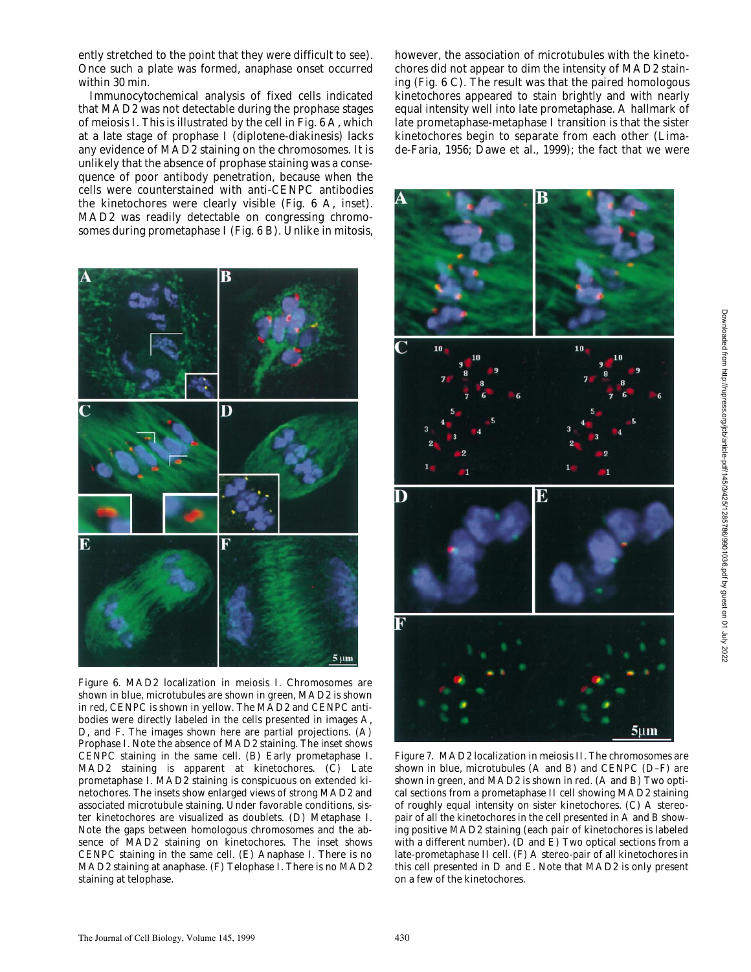ently stretched to the point that they were difficult to see). Once such a plate was formed, anaphase onset occurred within 30 min.

Immunocytochemical analysis of fixed cells indicated that MAD2 was not detectable during the prophase stages of meiosis I. This is illustrated by the cell in Fig. 6 A, which at a late stage of prophase I (diplotene-diakinesis) lacks any evidence of MAD2 staining on the chromosomes. It is unlikely that the absence of prophase staining was a consequence of poor antibody penetration, because when the cells were counterstained with anti-CENPC antibodies the kinetochores were clearly visible (Fig. 6 A, inset). MAD2 was readily detectable on congressing chromosomes during prometaphase I (Fig. 6 B). Unlike in mitosis,



*Figure 6*. MAD2 localization in meiosis I. Chromosomes are shown in blue, microtubules are shown in green, MAD2 is shown in red, CENPC is shown in yellow. The MAD2 and CENPC antibodies were directly labeled in the cells presented in images A, D, and F. The images shown here are partial projections. (A) Prophase I. Note the absence of MAD2 staining. The inset shows CENPC staining in the same cell. (B) Early prometaphase I. MAD2 staining is apparent at kinetochores. (C) Late prometaphase I. MAD2 staining is conspicuous on extended kinetochores. The insets show enlarged views of strong MAD2 and associated microtubule staining. Under favorable conditions, sister kinetochores are visualized as doublets. (D) Metaphase I. Note the gaps between homologous chromosomes and the absence of MAD2 staining on kinetochores. The inset shows CENPC staining in the same cell. (E) Anaphase I. There is no MAD2 staining at anaphase. (F) Telophase I. There is no MAD2 staining at telophase.

however, the association of microtubules with the kinetochores did not appear to dim the intensity of MAD2 staining (Fig. 6 C). The result was that the paired homologous kinetochores appeared to stain brightly and with nearly equal intensity well into late prometaphase. A hallmark of late prometaphase-metaphase I transition is that the sister kinetochores begin to separate from each other (Limade-Faria, 1956; Dawe et al., 1999); the fact that we were



*Figure 7*. MAD2 localization in meiosis II. The chromosomes are shown in blue, microtubules (A and B) and CENPC (D–F) are shown in green, and MAD2 is shown in red. (A and B) Two optical sections from a prometaphase II cell showing MAD2 staining of roughly equal intensity on sister kinetochores. (C) A stereopair of all the kinetochores in the cell presented in A and B showing positive MAD2 staining (each pair of kinetochores is labeled with a different number). ( $\overline{D}$  and  $\overline{E}$ ) Two optical sections from a late-prometaphase II cell. (F) A stereo-pair of all kinetochores in this cell presented in D and E. Note that MAD2 is only present on a few of the kinetochores.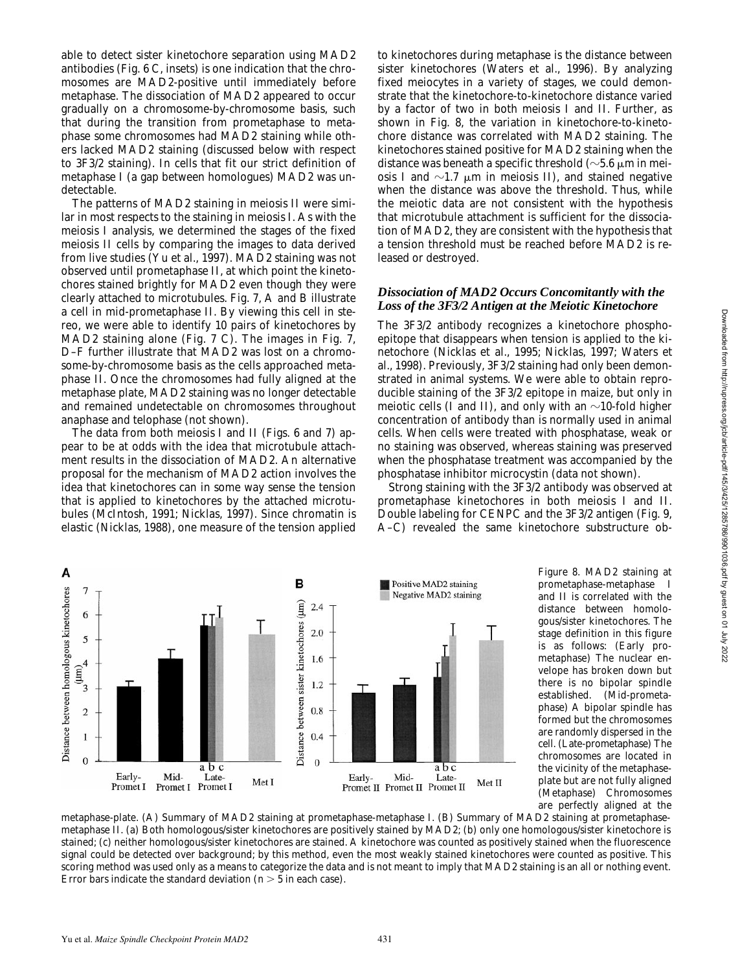able to detect sister kinetochore separation using MAD2 antibodies (Fig. 6 C, insets) is one indication that the chromosomes are MAD2-positive until immediately before metaphase. The dissociation of MAD2 appeared to occur gradually on a chromosome-by-chromosome basis, such that during the transition from prometaphase to metaphase some chromosomes had MAD2 staining while others lacked MAD2 staining (discussed below with respect to 3F3/2 staining). In cells that fit our strict definition of metaphase I (a gap between homologues) MAD2 was undetectable.

The patterns of MAD2 staining in meiosis II were similar in most respects to the staining in meiosis I. As with the meiosis I analysis, we determined the stages of the fixed meiosis II cells by comparing the images to data derived from live studies (Yu et al., 1997). MAD2 staining was not observed until prometaphase II, at which point the kinetochores stained brightly for MAD2 even though they were clearly attached to microtubules. Fig. 7, A and B illustrate a cell in mid-prometaphase II. By viewing this cell in stereo, we were able to identify 10 pairs of kinetochores by MAD2 staining alone (Fig. 7 C). The images in Fig. 7, D–F further illustrate that MAD2 was lost on a chromosome-by-chromosome basis as the cells approached metaphase II. Once the chromosomes had fully aligned at the metaphase plate, MAD2 staining was no longer detectable and remained undetectable on chromosomes throughout anaphase and telophase (not shown).

The data from both meiosis I and II (Figs. 6 and 7) appear to be at odds with the idea that microtubule attachment results in the dissociation of MAD2. An alternative proposal for the mechanism of MAD2 action involves the idea that kinetochores can in some way sense the tension that is applied to kinetochores by the attached microtubules (McIntosh, 1991; Nicklas, 1997). Since chromatin is elastic (Nicklas, 1988), one measure of the tension applied to kinetochores during metaphase is the distance between sister kinetochores (Waters et al., 1996). By analyzing fixed meiocytes in a variety of stages, we could demonstrate that the kinetochore-to-kinetochore distance varied by a factor of two in both meiosis I and II. Further, as shown in Fig. 8, the variation in kinetochore-to-kinetochore distance was correlated with MAD2 staining. The kinetochores stained positive for MAD2 staining when the distance was beneath a specific threshold ( $\sim$ 5.6  $\mu$ m in meiosis I and  $\sim$ 1.7  $\mu$ m in meiosis II), and stained negative when the distance was above the threshold. Thus, while the meiotic data are not consistent with the hypothesis that microtubule attachment is sufficient for the dissociation of MAD2, they are consistent with the hypothesis that a tension threshold must be reached before MAD2 is released or destroyed.

### *Dissociation of MAD2 Occurs Concomitantly with the Loss of the 3F3/2 Antigen at the Meiotic Kinetochore*

The 3F3/2 antibody recognizes a kinetochore phosphoepitope that disappears when tension is applied to the kinetochore (Nicklas et al., 1995; Nicklas, 1997; Waters et al., 1998). Previously, 3F3/2 staining had only been demonstrated in animal systems. We were able to obtain reproducible staining of the 3F3/2 epitope in maize, but only in meiotic cells (I and II), and only with an  $\sim$ 10-fold higher concentration of antibody than is normally used in animal cells. When cells were treated with phosphatase, weak or no staining was observed, whereas staining was preserved when the phosphatase treatment was accompanied by the phosphatase inhibitor microcystin (data not shown).

Strong staining with the 3F3/2 antibody was observed at prometaphase kinetochores in both meiosis I and II. Double labeling for CENPC and the 3F3/2 antigen (Fig. 9, A–C) revealed the same kinetochore substructure ob-



*Figure 8*. MAD2 staining at prometaphase-metaphase I and II is correlated with the distance between homologous/sister kinetochores. The stage definition in this figure is as follows: (Early prometaphase) The nuclear envelope has broken down but there is no bipolar spindle established. (Mid-prometaphase) A bipolar spindle has formed but the chromosomes are randomly dispersed in the cell. (Late-prometaphase) The chromosomes are located in the vicinity of the metaphaseplate but are not fully aligned (Metaphase) Chromosomes are perfectly aligned at the

metaphase-plate. (A) Summary of MAD2 staining at prometaphase-metaphase I. (B) Summary of MAD2 staining at prometaphasemetaphase II. (a) Both homologous/sister kinetochores are positively stained by MAD2; (b) only one homologous/sister kinetochore is stained; (c) neither homologous/sister kinetochores are stained. A kinetochore was counted as positively stained when the fluorescence signal could be detected over background; by this method, even the most weakly stained kinetochores were counted as positive. This scoring method was used only as a means to categorize the data and is not meant to imply that MAD2 staining is an all or nothing event. Error bars indicate the standard deviation ( $n > 5$  in each case).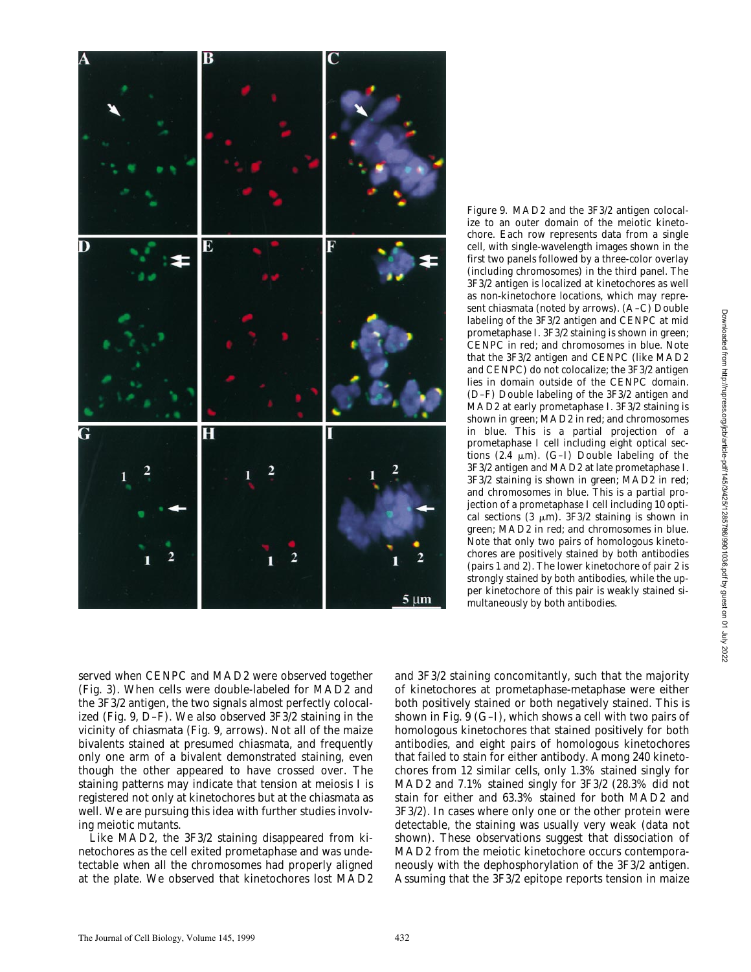

*Figure 9*. MAD2 and the 3F3/2 antigen colocalize to an outer domain of the meiotic kinetochore. Each row represents data from a single cell, with single-wavelength images shown in the first two panels followed by a three-color overlay (including chromosomes) in the third panel. The 3F3/2 antigen is localized at kinetochores as well as non-kinetochore locations, which may represent chiasmata (noted by arrows). (A–C) Double labeling of the 3F3/2 antigen and CENPC at mid prometaphase I. 3F3/2 staining is shown in green; CENPC in red; and chromosomes in blue. Note that the 3F3/2 antigen and CENPC (like MAD2 and CENPC) do not colocalize; the 3F3/2 antigen lies in domain outside of the CENPC domain. (D–F) Double labeling of the 3F3/2 antigen and MAD2 at early prometaphase I. 3F3/2 staining is shown in green; MAD2 in red; and chromosomes in blue. This is a partial projection of a prometaphase I cell including eight optical sections  $(2.4 \mu m)$ . (G-I) Double labeling of the 3F3/2 antigen and MAD2 at late prometaphase I. 3F3/2 staining is shown in green; MAD2 in red; and chromosomes in blue. This is a partial projection of a prometaphase I cell including 10 optical sections (3  $\mu$ m). 3F3/2 staining is shown in green; MAD2 in red; and chromosomes in blue. Note that only two pairs of homologous kinetochores are positively stained by both antibodies (pairs 1 and 2). The lower kinetochore of pair 2 is strongly stained by both antibodies, while the upper kinetochore of this pair is weakly stained simultaneously by both antibodies.

Downloaded from http://rupress.org/jcb/article-pdf/145/3/425/1285786/9901036.pdf by guest on 01 July 2022 Downloaded from http://rupress.org/jcb/article-pdf/145/3/425/1285786/9901036.pdf by guest on 01 July 2022

served when CENPC and MAD2 were observed together (Fig. 3). When cells were double-labeled for MAD2 and the 3F3/2 antigen, the two signals almost perfectly colocalized (Fig. 9, D–F). We also observed 3F3/2 staining in the vicinity of chiasmata (Fig. 9, arrows). Not all of the maize bivalents stained at presumed chiasmata, and frequently only one arm of a bivalent demonstrated staining, even though the other appeared to have crossed over. The staining patterns may indicate that tension at meiosis I is registered not only at kinetochores but at the chiasmata as well. We are pursuing this idea with further studies involving meiotic mutants.

Like MAD2, the 3F3/2 staining disappeared from kinetochores as the cell exited prometaphase and was undetectable when all the chromosomes had properly aligned at the plate. We observed that kinetochores lost MAD2

and 3F3/2 staining concomitantly, such that the majority of kinetochores at prometaphase-metaphase were either both positively stained or both negatively stained. This is shown in Fig. 9 (G–I), which shows a cell with two pairs of homologous kinetochores that stained positively for both antibodies, and eight pairs of homologous kinetochores that failed to stain for either antibody. Among 240 kinetochores from 12 similar cells, only 1.3% stained singly for MAD2 and 7.1% stained singly for 3F3/2 (28.3% did not stain for either and 63.3% stained for both MAD2 and 3F3/2). In cases where only one or the other protein were detectable, the staining was usually very weak (data not shown). These observations suggest that dissociation of MAD2 from the meiotic kinetochore occurs contemporaneously with the dephosphorylation of the 3F3/2 antigen. Assuming that the 3F3/2 epitope reports tension in maize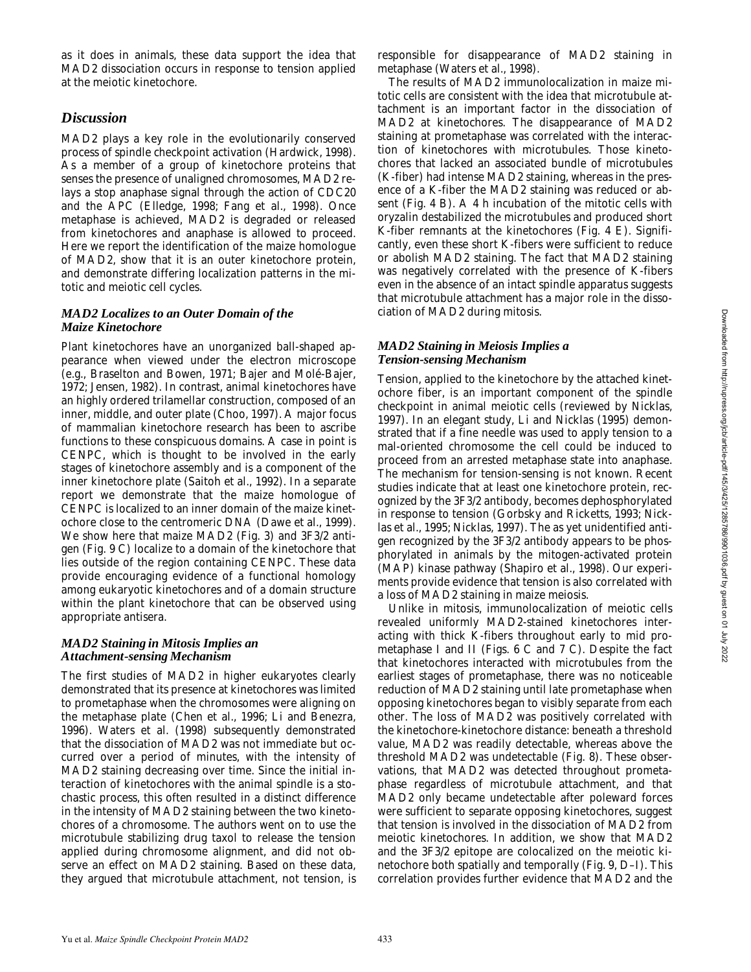as it does in animals, these data support the idea that MAD2 dissociation occurs in response to tension applied at the meiotic kinetochore.

## *Discussion*

MAD2 plays a key role in the evolutionarily conserved process of spindle checkpoint activation (Hardwick, 1998). As a member of a group of kinetochore proteins that senses the presence of unaligned chromosomes, MAD2 relays a stop anaphase signal through the action of CDC20 and the APC (Elledge, 1998; Fang et al., 1998). Once metaphase is achieved, MAD2 is degraded or released from kinetochores and anaphase is allowed to proceed. Here we report the identification of the maize homologue of MAD2, show that it is an outer kinetochore protein, and demonstrate differing localization patterns in the mitotic and meiotic cell cycles.

#### *MAD2 Localizes to an Outer Domain of the Maize Kinetochore*

Plant kinetochores have an unorganized ball-shaped appearance when viewed under the electron microscope (e.g., Braselton and Bowen, 1971; Bajer and Molé-Bajer, 1972; Jensen, 1982). In contrast, animal kinetochores have an highly ordered trilamellar construction, composed of an inner, middle, and outer plate (Choo, 1997). A major focus of mammalian kinetochore research has been to ascribe functions to these conspicuous domains. A case in point is CENPC, which is thought to be involved in the early stages of kinetochore assembly and is a component of the inner kinetochore plate (Saitoh et al., 1992). In a separate report we demonstrate that the maize homologue of CENPC is localized to an inner domain of the maize kinetochore close to the centromeric DNA (Dawe et al., 1999). We show here that maize MAD2 (Fig. 3) and 3F3/2 antigen (Fig. 9 C) localize to a domain of the kinetochore that lies outside of the region containing CENPC. These data provide encouraging evidence of a functional homology among eukaryotic kinetochores and of a domain structure within the plant kinetochore that can be observed using appropriate antisera.

### *MAD2 Staining in Mitosis Implies an Attachment-sensing Mechanism*

The first studies of MAD2 in higher eukaryotes clearly demonstrated that its presence at kinetochores was limited to prometaphase when the chromosomes were aligning on the metaphase plate (Chen et al., 1996; Li and Benezra, 1996). Waters et al. (1998) subsequently demonstrated that the dissociation of MAD2 was not immediate but occurred over a period of minutes, with the intensity of MAD2 staining decreasing over time. Since the initial interaction of kinetochores with the animal spindle is a stochastic process, this often resulted in a distinct difference in the intensity of MAD2 staining between the two kinetochores of a chromosome. The authors went on to use the microtubule stabilizing drug taxol to release the tension applied during chromosome alignment, and did not observe an effect on MAD2 staining. Based on these data, they argued that microtubule attachment, not tension, is responsible for disappearance of MAD2 staining in metaphase (Waters et al., 1998).

The results of MAD2 immunolocalization in maize mitotic cells are consistent with the idea that microtubule attachment is an important factor in the dissociation of MAD2 at kinetochores. The disappearance of MAD2 staining at prometaphase was correlated with the interaction of kinetochores with microtubules. Those kinetochores that lacked an associated bundle of microtubules (K-fiber) had intense MAD2 staining, whereas in the presence of a K-fiber the MAD2 staining was reduced or absent (Fig. 4 B). A 4 h incubation of the mitotic cells with oryzalin destabilized the microtubules and produced short K-fiber remnants at the kinetochores (Fig. 4 E). Significantly, even these short K-fibers were sufficient to reduce or abolish MAD2 staining. The fact that MAD2 staining was negatively correlated with the presence of K-fibers even in the absence of an intact spindle apparatus suggests that microtubule attachment has a major role in the dissociation of MAD2 during mitosis.

#### *MAD2 Staining in Meiosis Implies a Tension-sensing Mechanism*

Tension, applied to the kinetochore by the attached kinetochore fiber, is an important component of the spindle checkpoint in animal meiotic cells (reviewed by Nicklas, 1997). In an elegant study, Li and Nicklas (1995) demonstrated that if a fine needle was used to apply tension to a mal-oriented chromosome the cell could be induced to proceed from an arrested metaphase state into anaphase. The mechanism for tension-sensing is not known. Recent studies indicate that at least one kinetochore protein, recognized by the 3F3/2 antibody, becomes dephosphorylated in response to tension (Gorbsky and Ricketts, 1993; Nicklas et al., 1995; Nicklas, 1997). The as yet unidentified antigen recognized by the 3F3/2 antibody appears to be phosphorylated in animals by the mitogen-activated protein (MAP) kinase pathway (Shapiro et al., 1998). Our experiments provide evidence that tension is also correlated with a loss of MAD2 staining in maize meiosis.

Unlike in mitosis, immunolocalization of meiotic cells revealed uniformly MAD2-stained kinetochores interacting with thick K-fibers throughout early to mid prometaphase I and II (Figs. 6 C and 7 C). Despite the fact that kinetochores interacted with microtubules from the earliest stages of prometaphase, there was no noticeable reduction of MAD2 staining until late prometaphase when opposing kinetochores began to visibly separate from each other. The loss of MAD2 was positively correlated with the kinetochore-kinetochore distance: beneath a threshold value, MAD2 was readily detectable, whereas above the threshold MAD2 was undetectable (Fig. 8). These observations, that MAD2 was detected throughout prometaphase regardless of microtubule attachment, and that MAD2 only became undetectable after poleward forces were sufficient to separate opposing kinetochores, suggest that tension is involved in the dissociation of MAD2 from meiotic kinetochores. In addition, we show that MAD2 and the 3F3/2 epitope are colocalized on the meiotic kinetochore both spatially and temporally (Fig. 9, D–I). This correlation provides further evidence that MAD2 and the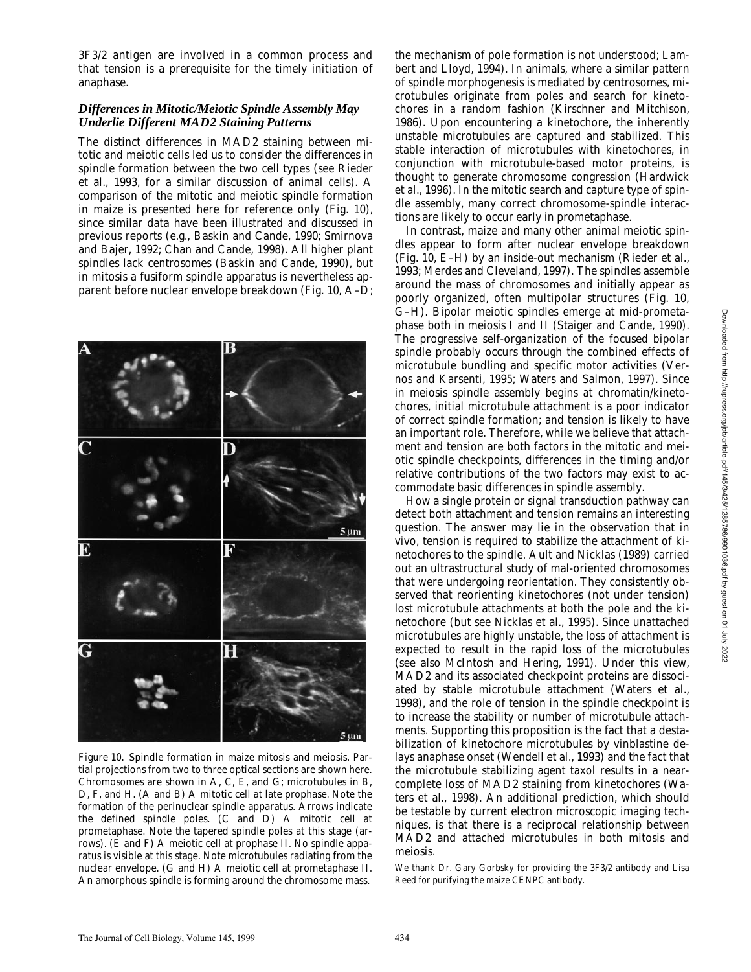3F3/2 antigen are involved in a common process and that tension is a prerequisite for the timely initiation of anaphase.

#### *Differences in Mitotic/Meiotic Spindle Assembly May Underlie Different MAD2 Staining Patterns*

The distinct differences in MAD2 staining between mitotic and meiotic cells led us to consider the differences in spindle formation between the two cell types (see Rieder et al., 1993, for a similar discussion of animal cells). A comparison of the mitotic and meiotic spindle formation in maize is presented here for reference only (Fig. 10), since similar data have been illustrated and discussed in previous reports (e.g., Baskin and Cande, 1990; Smirnova and Bajer, 1992; Chan and Cande, 1998). All higher plant spindles lack centrosomes (Baskin and Cande, 1990), but in mitosis a fusiform spindle apparatus is nevertheless apparent before nuclear envelope breakdown (Fig. 10, A–D;



*Figure 10*. Spindle formation in maize mitosis and meiosis. Partial projections from two to three optical sections are shown here. Chromosomes are shown in A, C, E, and G; microtubules in B, D, F, and H. (A and B) A mitotic cell at late prophase. Note the formation of the perinuclear spindle apparatus. Arrows indicate the defined spindle poles. (C and D) A mitotic cell at prometaphase. Note the tapered spindle poles at this stage (arrows). (E and F) A meiotic cell at prophase II. No spindle apparatus is visible at this stage. Note microtubules radiating from the nuclear envelope. (G and H) A meiotic cell at prometaphase II. An amorphous spindle is forming around the chromosome mass.

the mechanism of pole formation is not understood; Lambert and Lloyd, 1994). In animals, where a similar pattern of spindle morphogenesis is mediated by centrosomes, microtubules originate from poles and search for kinetochores in a random fashion (Kirschner and Mitchison, 1986). Upon encountering a kinetochore, the inherently unstable microtubules are captured and stabilized. This stable interaction of microtubules with kinetochores, in conjunction with microtubule-based motor proteins, is thought to generate chromosome congression (Hardwick et al., 1996). In the mitotic search and capture type of spindle assembly, many correct chromosome-spindle interactions are likely to occur early in prometaphase.

In contrast, maize and many other animal meiotic spindles appear to form after nuclear envelope breakdown (Fig. 10, E–H) by an inside-out mechanism (Rieder et al., 1993; Merdes and Cleveland, 1997). The spindles assemble around the mass of chromosomes and initially appear as poorly organized, often multipolar structures (Fig. 10, G–H). Bipolar meiotic spindles emerge at mid-prometaphase both in meiosis I and II (Staiger and Cande, 1990). The progressive self-organization of the focused bipolar spindle probably occurs through the combined effects of microtubule bundling and specific motor activities (Vernos and Karsenti, 1995; Waters and Salmon, 1997). Since in meiosis spindle assembly begins at chromatin/kinetochores, initial microtubule attachment is a poor indicator of correct spindle formation; and tension is likely to have an important role. Therefore, while we believe that attachment and tension are both factors in the mitotic and meiotic spindle checkpoints, differences in the timing and/or relative contributions of the two factors may exist to accommodate basic differences in spindle assembly.

How a single protein or signal transduction pathway can detect both attachment and tension remains an interesting question. The answer may lie in the observation that in vivo, tension is required to stabilize the attachment of kinetochores to the spindle. Ault and Nicklas (1989) carried out an ultrastructural study of mal-oriented chromosomes that were undergoing reorientation. They consistently observed that reorienting kinetochores (not under tension) lost microtubule attachments at both the pole and the kinetochore (but see Nicklas et al., 1995). Since unattached microtubules are highly unstable, the loss of attachment is expected to result in the rapid loss of the microtubules (see also McIntosh and Hering, 1991). Under this view, MAD2 and its associated checkpoint proteins are dissociated by stable microtubule attachment (Waters et al., 1998), and the role of tension in the spindle checkpoint is to increase the stability or number of microtubule attachments. Supporting this proposition is the fact that a destabilization of kinetochore microtubules by vinblastine delays anaphase onset (Wendell et al., 1993) and the fact that the microtubule stabilizing agent taxol results in a nearcomplete loss of MAD2 staining from kinetochores (Waters et al., 1998). An additional prediction, which should be testable by current electron microscopic imaging techniques, is that there is a reciprocal relationship between MAD2 and attached microtubules in both mitosis and meiosis.

We thank Dr. Gary Gorbsky for providing the 3F3/2 antibody and Lisa Reed for purifying the maize CENPC antibody.